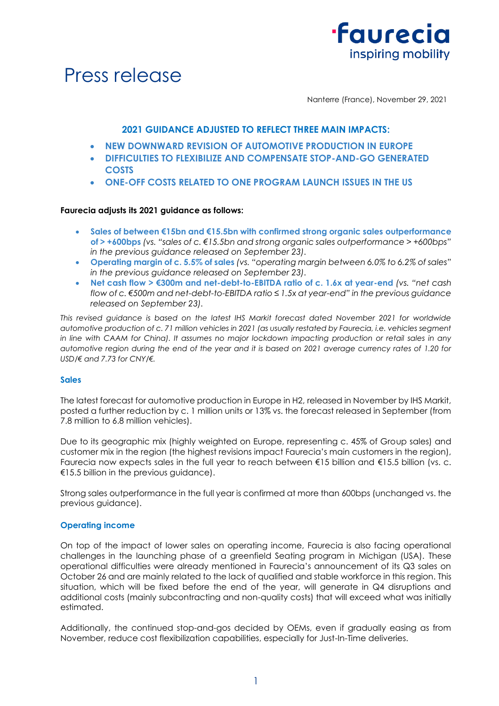



Nanterre (France), November 29, 2021

# **2021 GUIDANCE ADJUSTED TO REFLECT THREE MAIN IMPACTS:**

- **NEW DOWNWARD REVISION OF AUTOMOTIVE PRODUCTION IN EUROPE**
- **DIFFICULTIES TO FLEXIBILIZE AND COMPENSATE STOP-AND-GO GENERATED COSTS**
- **ONE-OFF COSTS RELATED TO ONE PROGRAM LAUNCH ISSUES IN THE US**

# **Faurecia adjusts its 2021 guidance as follows:**

- **Sales of between €15bn and €15.5bn with confirmed strong organic sales outperformance of > +600bps** *(vs. "sales of c. €15.5bn and strong organic sales outperformance > +600bps" in the previous guidance released on September 23).*
- **Operating margin of c. 5.5% of sales** *(vs. "operating margin between 6.0% to 6.2% of sales" in the previous guidance released on September 23).*
- **Net cash flow > €300m and net-debt-to-EBITDA ratio of c. 1.6x at year-end** *(vs. "net cash flow of c. €500m and net-debt-to-EBITDA ratio ≤ 1.5x at year-end" in the previous guidance released on September 23).*

*This revised guidance is based on the latest IHS Markit forecast dated November 2021 for worldwide automotive production of c. 71 million vehicles in 2021 (as usually restated by Faurecia, i.e. vehicles segment in line with CAAM for China). It assumes no major lockdown impacting production or retail sales in any automotive region during the end of the year and it is based on 2021 average currency rates of 1.20 for USD/€ and 7.73 for CNY/€.*

# **Sales**

The latest forecast for automotive production in Europe in H2, released in November by IHS Markit, posted a further reduction by c. 1 million units or 13% vs. the forecast released in September (from 7.8 million to 6.8 million vehicles).

Due to its geographic mix (highly weighted on Europe, representing c. 45% of Group sales) and customer mix in the region (the highest revisions impact Faurecia's main customers in the region), Faurecia now expects sales in the full year to reach between €15 billion and €15.5 billion (vs. c. €15.5 billion in the previous guidance).

Strong sales outperformance in the full year is confirmed at more than 600bps (unchanged vs. the previous guidance).

## **Operating income**

On top of the impact of lower sales on operating income, Faurecia is also facing operational challenges in the launching phase of a greenfield Seating program in Michigan (USA). These operational difficulties were already mentioned in Faurecia's announcement of its Q3 sales on October 26 and are mainly related to the lack of qualified and stable workforce in this region. This situation, which will be fixed before the end of the year, will generate in Q4 disruptions and additional costs (mainly subcontracting and non-quality costs) that will exceed what was initially estimated.

Additionally, the continued stop-and-gos decided by OEMs, even if gradually easing as from November, reduce cost flexibilization capabilities, especially for Just-In-Time deliveries.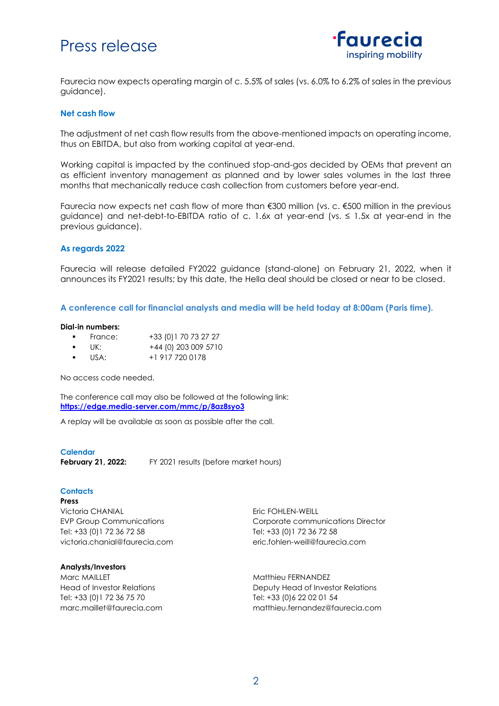# Press release



Faurecia now expects operating margin of c. 5.5% of sales (vs. 6.0% to 6.2% of sales in the previous guidance).

# **Net cash flow**

The adjustment of net cash flow results from the above-mentioned impacts on operating income, thus on EBITDA, but also from working capital at year-end.

Working capital is impacted by the continued stop-and-gos decided by OEMs that prevent an as efficient inventory management as planned and by lower sales volumes in the last three months that mechanically reduce cash collection from customers before year-end.

Faurecia now expects net cash flow of more than €300 million (vs. c. €500 million in the previous guidance) and net-debt-to-EBITDA ratio of c. 1.6x at year-end (vs.  $\leq$  1.5x at year-end in the previous guidance).

# **As regards 2022**

Faurecia will release detailed FY2022 guidance (stand-alone) on February 21, 2022, when it announces its FY2021 results; by this date, the Hella deal should be closed or near to be closed.

**A conference call for financial analysts and media will be held today at 8:00am (Paris time).** 

#### **Dial-in numbers:**

- France: +33 (0) 1 70 73 27 27
- $\bullet$  UK:  $+44$  (0) 203 009 5710
- USA: +1 917 720 0178

No access code needed.

The conference call may also be followed at the following link: **<https://edge.media-server.com/mmc/p/8az8syo3>**

A replay will be available as soon as possible after the call.

#### **Calendar**

**February 21, 2022:** FY 2021 results (before market hours)

## **Contacts**

**Press** Victoria CHANIAL EVP Group Communications Tel: +33 (0)1 72 36 72 58 victoria.chanial@faurecia.com

## **Analysts/Investors**

Marc MAILLET Head of Investor Relations Tel: +33 (0)1 72 36 75 70 [marc.maillet@faurecia.com](mailto:marc.maillet@faurecia.com) Eric FOHLEN-WEILL Corporate communications Director Tel: +33 (0)1 72 36 72 58 [eric.fohlen-weill@faurecia.com](mailto:eric.fohlen-weill@faurecia.com)

Matthieu FERNANDEZ Deputy Head of Investor Relations Tel: +33 (0)6 22 02 01 54 matthieu.fernandez@faurecia.com